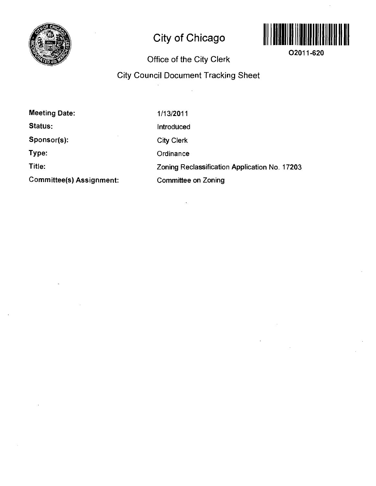

# **City of Chicago**



**02011-620** 

## **Office of the City Clerk**

### **City Council Document Tracking Sheet**

| <b>Meeting Date:</b>            | 1/13/2011                                     |
|---------------------------------|-----------------------------------------------|
| Status:                         | <b>Introduced</b>                             |
| Sponsor(s):                     | <b>City Clerk</b>                             |
| Type:                           | Ordinance                                     |
| Title:                          | Zoning Reclassification Application No. 17203 |
| <b>Committee(s) Assignment:</b> | <b>Committee on Zoning</b>                    |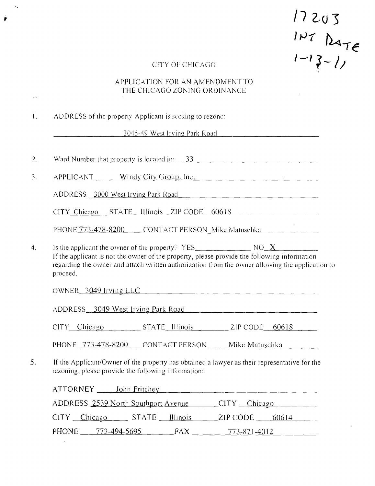$17203$ <br> $147$   $247$ <br> $1-13-1$ 

 $\mathcal{A}^{\mathcal{A}}$ 

#### crrv or CHICAGO

 $\mathcal{A}_{\bullet}$ 

 $\bar{\omega}$ 

Ŷ

#### APPLICATION FOR AN AMENDMENT TO THE CHICAGO ZONING ORDINANCE

|          | ADDRESS of the property Applicant is seeking to rezone: |                                                                                                                                                                                                                                                          |
|----------|---------------------------------------------------------|----------------------------------------------------------------------------------------------------------------------------------------------------------------------------------------------------------------------------------------------------------|
|          |                                                         | $\frac{3045-49 \text{ West Irving Park Road}}{2045-49 \text{ West Irving Park Road}}$                                                                                                                                                                    |
|          |                                                         |                                                                                                                                                                                                                                                          |
|          |                                                         | APPLICANT Windy City Group, Inc.                                                                                                                                                                                                                         |
|          |                                                         | ADDRESS 3000 West Irving Park Road                                                                                                                                                                                                                       |
|          |                                                         | CITY_Chicago __ STATE __ Illinois __ ZIP CODE __ 60618                                                                                                                                                                                                   |
|          |                                                         | PHONE 773-478-8200 CONTACT PERSON Mike Matuschka                                                                                                                                                                                                         |
| proceed. |                                                         | Is the applicant the owner of the property? $YES$ MO X<br>If the applicant is not the owner of the property, please provide the following information<br>regarding the owner and attach written authorization from the owner allowing the application to |
|          |                                                         | OWNER 3049 Irving LLC                                                                                                                                                                                                                                    |
|          | ADDRESS 3049 West Irving Park Road                      |                                                                                                                                                                                                                                                          |
|          |                                                         |                                                                                                                                                                                                                                                          |
|          |                                                         | CITY Chicago STATE Illinois ZIP CODE 60618                                                                                                                                                                                                               |
|          |                                                         |                                                                                                                                                                                                                                                          |
|          | rezoning, please provide the following information:     |                                                                                                                                                                                                                                                          |
|          |                                                         | PHONE 773-478-8200 CONTACT PERSON Mike Matuschka<br>If the Applicant/Owner of the property has obtained a lawyer as their representative for the                                                                                                         |
|          |                                                         | ADDRESS 2539 North Southport Avenue CITY Chicago                                                                                                                                                                                                         |

PHONE 773-494-5695 FAX 773-871-4012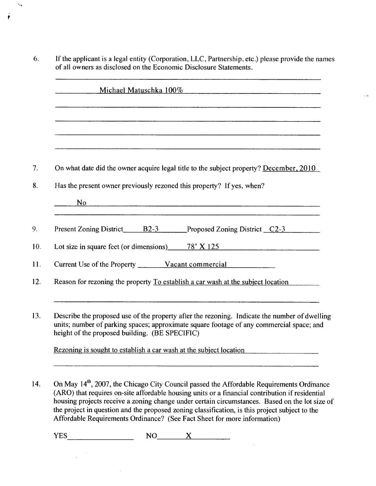If the applicant is a legal entity (Corporation, LLC, Partnership, etc.) please provide the names 6. ofall owners as disclosed on the Economic Disclosure Statements.

 $\sim 42$ 

 $\ddotsc$ 

Ŷ

| Michael Matuschka 100%<br><u> 1980 - Johann Barn, amerikansk politiker (</u> † 1902)                                                                                                                                                        |
|---------------------------------------------------------------------------------------------------------------------------------------------------------------------------------------------------------------------------------------------|
|                                                                                                                                                                                                                                             |
|                                                                                                                                                                                                                                             |
|                                                                                                                                                                                                                                             |
| On what date did the owner acquire legal title to the subject property? December, 2010                                                                                                                                                      |
| Has the present owner previously rezoned this property? If yes, when?                                                                                                                                                                       |
|                                                                                                                                                                                                                                             |
| Present Zoning District B2-3 Proposed Zoning District C2-3                                                                                                                                                                                  |
| Lot size in square feet (or dimensions) $\frac{78}{125}$ $\frac{125}{125}$                                                                                                                                                                  |
|                                                                                                                                                                                                                                             |
| Reason for rezoning the property To establish a car wash at the subject location                                                                                                                                                            |
|                                                                                                                                                                                                                                             |
| Describe the proposed use of the property after the rezoning. Indicate the number of dwelling<br>units; number of parking spaces; approximate square footage of any commercial space; and<br>height of the proposed building. (BE SPECIFIC) |
| Rezoning is sought to establish a car wash at the subject location                                                                                                                                                                          |

14. On May 14<sup>th</sup>, 2007, the Chicago City Council passed the Affordable Requirements Ordmance (ARO) that requires on-site affordable housing units or a financial contribution if residential housing projects receive a zoning change under certain circumstances. Based on the lot size of the project in question and the proposed zoning classification, is this project subject to the Affordable Requirements Ordinance? (See Fact Sheet for more information)

 $YES \t\t NO \t X \t\t NO$ 

 $\mathcal{L}^{\mathcal{L}}$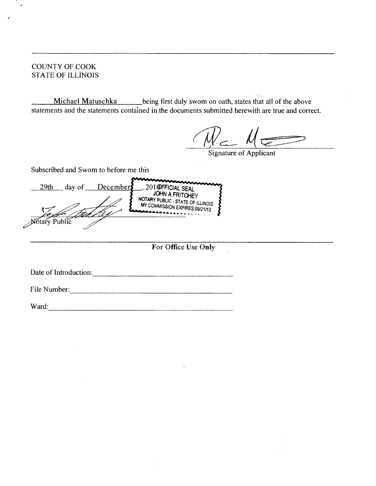#### **COUNTY OF COOK STATE OF ILLINOIS**

**Michael Matuschka** \_being first duly swom on oath, states that all of the above statements and the statements contained in the documents submitted herewith are true and correct.

Signature of Applicant

Subscribed and Swom to before me this

201 **OFFICIAL SEAL**<br>JOHN A FRITCHEY 29th day of December NOTARY PUBLIC - STATE OF ILLINOIS MY COMMISSION EXPIRES:09/21/13 Stary Public

**For Office Use Only** 

Date of Introduction:

File Number:

Ward: Ward: Ward: Ward: Ward: Ward: Ward: Ward: Ward: Ward: Ward: Ward: Ward: Ward: Ward: Ward: Ward: Ward: Ward: Ward: Ward: Ward: Ward: Ward: Ward: Ward: Ward: Ward: Ward: Ward: Ward: Ward: Ward: Ward: Ward: Ward: Ward: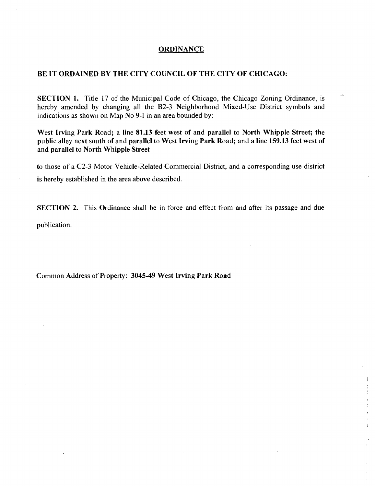#### **ORDINANCE**

#### **BE IT ORDAINED BV THE CITY COUNCIL OF THE CITY OF CHICAGO:**

SECTION 1. Title 17 of the Municipal Code of Chicago, the Chicago Zoning Ordinance, is hereby amended by changing all the B2-3 Neighborhood Mixed-Use District symbols and indications as shown on Map No 9-1 in an area bounded by:

u.

ļ.

West Irving Park Road; a line 81.13 feet west of and parallel to North Whipple Street; the **public alley next south of and parallel to West Irving Park Road; and a line 159.13 feet west of and parallel to North Whipple Street** 

to those of a C2-3 Motor Vehicle-Related Commercial District, and a corresponding use district is hereby established in the area above described.

SECTION 2. This Ordinance shall be in force and effect from and after its passage and due

publication.

**Common Address of Property: 3045-49 West Irving Park Road**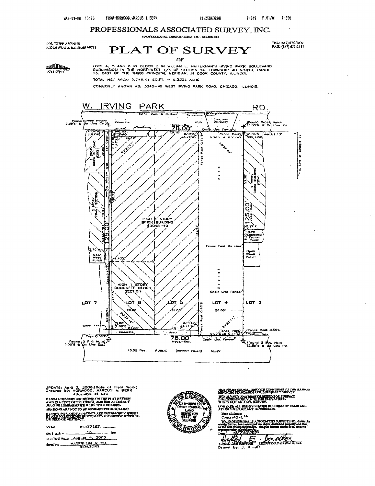TKL: (847) 675-3000<br>FAX: (847) 675-31 57

### PROFESSIONALS ASSOCIATED SURVEY , INC.

(iW. TRTPP AVFNIJP.<br>(COLNWOOD, ILL.INDIB 60712)

### $PLAT$  OF SURVEY

OF

**Million** NORTH

LOTS 4, 5 AND 8 IN BLOCK 3 IN WILLIAM E. HATTERMAN'S IRVING PARR BOULEVARD<br>SUBDIVISION IN THE NORTHWEST 1/4 OF SECTION 24, TOWNSTIP 40 NORTH, RANOE<br>13. CAST OF THE THIRO PRINCIPAL MERIDIAN, IN COOK COUNTY, ILLINDIS.

TOTAL NET AREA:  $0.740.41$  SQ.FT.  $\approx 0.2318$  acre

COMMONLY KNOWN AS: 3045-49 WEST IRVINO PARK ROAO, CHICAGO, ILLINOIS.



JPDATE: April 3, 3006.(Dale of Field Work)<br>Orsarod by: HORWOOO, MAftCUS & BERK<br>- Attorn«ye of Low F.TINAI. DEN THERE SKONN ON THEFT 4T REKKON<br>AWN IS A COET OF TEE OKUEL, AMU BOK ACCUKAL Y<br>JULO IN: LIIMKASM WII F TO TTILU OB DINOX<br>4ENSIOHS AKF NOT TO BE ABSUMID) FROM SCALINC. II. JUNIT LINIIS AND FASHMENTS AND SHOWN OUT Y WHEDE IT AND SO RECORDED IN THE MAPS. OTHERWISE REPERTO

| <b>UR DEED OR ABSTRACT.</b>                      |
|--------------------------------------------------|
| $10.7 - 22157$                                   |
| also I take a measurement of the contract of the |
| ar of Pirkl Wask August 4, 2005                  |
|                                                  |



this priestsuonal servate linnumas to the illinois<br>Minimilm Standards For Boidwary survey. THE SUBVIV HAS BUCK ORDINARY DES SUBFACE

uauvan all puluv hinvuu kuiludalhy kamb and<br>AT unce vervat any diperbrata State of illustrate and

.<br>We, PROPIESSURARI S ASSOOMTIID SURVET INC, de liutliv<br>toly that we have universed the ahove described property and the<br>the heat of ony knop/indge, the plot become deswe is an income. anaya.<br>Madan

 $-272006$  $44462.5$ Donalthon  $Drown by: J. K. -\sqrt{N}$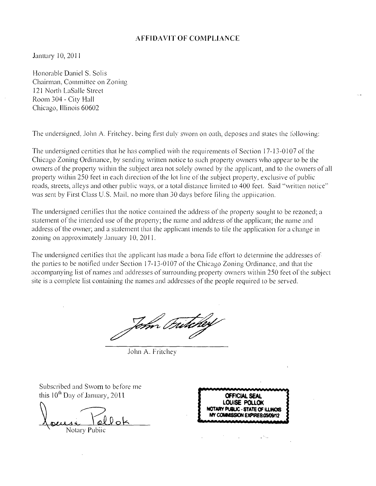#### **AFFIDAVIT OF COMPLIANCE**

Janitary 10, 2011

Honorable Daniel S. Solis Chairman, Coinmittee on Zoniite 121 North LaSalle Street Room 304 - City Hall Chicago, Illinois 60602

The undersigned. John A. Fritchey, being first duly sworn on oath, deposes and states the Ibllowing:

The undersigned certities that he has complied with the requirements of Section 17-13-0107 of the Chicago Zoning Ordinance, by sending written notice to such property owners who appear to be the owners of the property within the subject area not solely owned by the applicant, and to the owners of all property within 250 feet in each direction of the lot line of the subject property, exclusive of public roads, streets, alleys and other public ways, or a total distance limited to 400 feet. Said "written notice" was sent by First Class U.S. Mail, no more than 30 days before liling the appiication.

The undersigned certilies that the notice contained the address of the property sought to be rezoned; a statement of the intended use of the property; the name and address of the applicant; the name and address ofthe owner; and a statement thai the applicant intends to tile the application for a change in zoning on approximately .lanuary 10, 2011.

The undersigned certifies that the applicant has made a bona lide effort to determine the addresses of the parties to be notified under Section 17-13-0107 of the Chicago Zoning Ordinance, and that the accompanying list of names and addresses of surrounding propeity owners within 250 feet ol'the subject site is a complete list containing the names and addresses of the people required to be served.

.lohn A. Fritchev

Subscribed and Swom to before me this  $10^{th}$  Day of January,  $2011$  **CFFICIAL SEAL** 

Notary Public

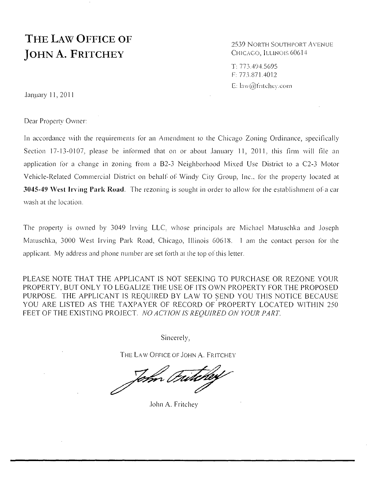# **THE LAW OFFICE OF JOHN A. FRITCHEY**

2539 NORTH SOUTHPORT AVENUE CHICAGO, ILLINOIS 60614

T; 773.404.5695 F: 773.S71.4012 E: law $(\widehat{w})$ tritchev.com

January 11, 2011

Dear Property Owner:

In accordance with the requirements for an Amendment to the Chicago Zoning Ordinance, specifically Section 17-13-0107, please be informed that on or about lanuary 11, 2011, this firm will file an application for a change in zoning from a B2-3 Neighborhood Mixed Use District to a C2-3 Motor Vehicle-Related Commercial District on behalf of Windy City Group. Inc., for the property located at 3045-49 West Irving Park Road. The rezoning is sought in order to allow for the establishment of a car wash at the location.

The property is owned by 3049 Irving LLC, whose principals are Michael Matuschka and loseph Matuschka, 3000 West Irving Park Road, Chicago, Illinois 60618. 1 am the contact person for the applicant. My address and phone number are sel forth ai ihe lop ofthis letter.

*PLEASE NOTE THAT THE APPLICANT IS NOT SEEKING TO PURCHASE OR REZONE YOUR PROPERTY, BUT ONLY TO LEGALIZE THE USE OF ITS OW^ PROPERTY FOR THE PROPOSED*  PURPOSE. THE APPLICANT IS REQUIRED BY LAW TO SEND YOU THIS NOTICE BECAUSE *YOU ARE LISTED AS THE TAXPAYER OF RECORD OF'PROPERTY LOCATED WITHIN 250*  FEET OF THE EXISTING PROJECT. NO ACTION IS REOUIRED ON YOUR PART.

Sincerely,

THE LAW OFFICE OF JOHN A. FRITCHEY

John Futcher

.lohn A. Fritchey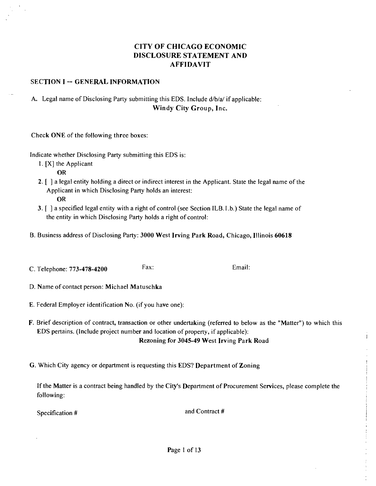#### **CITY OF CHICAGO ECONOMIC DISCLOSURE STATEMENT AND AFFIDAVIT**

#### **SECTION I -- GENERAL INFORMATION**

#### A. Legal name of Disclosing Party submitting this EDS. Include d/b/a/ if applicable: **Windy City Group, Inc.**

Check ONE of the following three boxes:

Indicate whether Disclosing Party submitting this EDS is:

1. [X] the Applicant

OR

- 2. [ ] a legal entity holding a direct or indirect interest in the Applicant. State the legal name of the Applicant in which Disclosing Party holds an interest: OR
- 3. f ] a specified legal entity with a right of control (see Section ILB.I .b.) State the legal name of the entity in which Disclosing Party holds a right of control;
- **B. Business address of Disclosing Party: 3000 West Irving Park Road, Chicago, Illinois 60618**
- C. Telephone:  $773-478-4200$  Fax: Email:

**D. Name of contact person: Michael Matuschka** 

- E. Federal Employer identification No. (if you have one):
- F. Brief description of contract, transaction or other undertaking (referred to below as the "Matter") to which this EDS pertains. (Include project number and location of property, if applicable): **Rezoning for 3045-49 West Irving Park Road**
- **G. Which City agency or department is requesting this EDS? Department of Zoning**

If the Matter is a contract being handled by the City's Department of Procurement Services, please complete the following:

Specification #  $\blacksquare$ 

 $\mathbf{i}$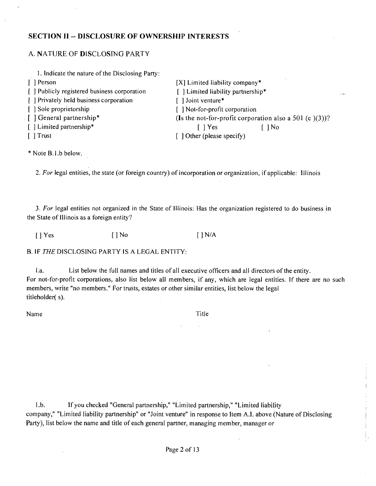#### **SECTION II - DISCLOSURE OF OWNERSHIP INTERESTS**

#### A. NATURE OF DlSCLOSfNG PARTY

| 1. Indicate the nature of the Disclosing Party: |                                                        |  |  |
|-------------------------------------------------|--------------------------------------------------------|--|--|
| [ ] Person                                      | $[X]$ Limited liability company*                       |  |  |
| [ ] Publicly registered business corporation    | [] Limited liability partnership*                      |  |  |
| [ ] Privately held business corporation         | [] Joint venture*                                      |  |  |
| [ ] Sole proprietorship                         | [ ] Not-for-profit corporation                         |  |  |
| [] General partnership*                         | (Is the not-for-profit corporation also a 501 (c)(3))? |  |  |
| [] Limited partnership*                         | $\bigcap$ No<br>$\lceil \ \rceil$ Yes                  |  |  |
| $\lceil$ Trust                                  | $\lceil$ 1 Other (please specify)                      |  |  |

\* Note B.l.b below.

**I. For legal entities, the state (or foreign country) of incorporation or organization, if applicable: Illinois** 

3. For legal entities not organized in the State of Illinois: Has the organization registered to do business in the State of Illinois as a foreign entity?

[ ] Yes [ ] No [ ] N/A

B. IF THE DISCLOSING PARTY IS A LEGAL ENTITY:

l.a. List below the full names and titles of all executive officers and all directors of the entity. For not-for-profit corporations, also list below all members, if any, which are legal entities. If there are no such members, write "no members." For trusts, estates or other similar entities, list below the legal titleholder( s).

Name Title

l.b. If you checked "General partnership," "Limited partnership," "Limited liability company," "Limited liability partnership" or "Joint venture" in response to Item A.I. above (Nature of Disclosing Party), list below the name and title of each general partner, managing member, manager or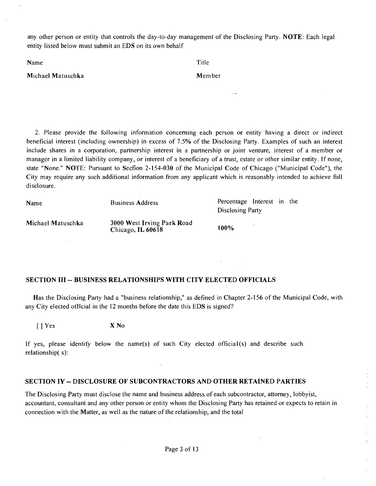any other person or entity that controls the day-to-day management of the Disclosing Party. NOTE: Each legal entity listed below must submit an EDS on its own behalf

| Title |
|-------|
|       |

**Michael Matuschka** Member **Member** 

2. Please provide the following information conceming each person or entity having a direct or indirect beneficial interest (including ownership) in excess of 7.5% of the Disclosing Party. Examples of such an interest include shares in a corporation, partnership interest in a partnership or joint venture, interest of a member or manager in a limited liability company, or interest of a beneficiary of a trust, estate or other similar entity. If none, state "None." NOTE: Pursuant to Secfion 2-154-030 of the Municipal Code of Chicago ("Municipal Code"), the City may require any such additional information from any applicant which is reasonably intended to achieve fiill disclosure.

| Name              | <b>Business Address</b>                         | Percentage Interest in the<br>Disclosing Party |  |  |
|-------------------|-------------------------------------------------|------------------------------------------------|--|--|
| Michael Matuschka | 3000 West Irving Park Road<br>Chicago, IL 60618 | 100%                                           |  |  |

#### **SECTION III - BUSINESS RELATIONSHIPS WITH CITV ELECTED OFFICIALS**

Has the Disclosing Party had a "business relationship," as defined in Chapter 2-156 of the Municipal Code, with any City elected ot ticial in the 12 months before the date this EDS is signed?

[ ] Yes X No

If yes, please identity below the name(s) of such City elected official(s) and describe such relationship( s):

#### **SECTION IV - DISCLOSURE OF SUBCONTRACTORS AND OTHER RETAINED PARTIES**

The Disclosing Party must disclose the name and business address of each subcontractor, attomey, lobbyist, accountant, consultant and any other person or entity whom the Disclosing Party has retained or expects to retain in connection with the Matter, as well as the nature of the relationship, and the total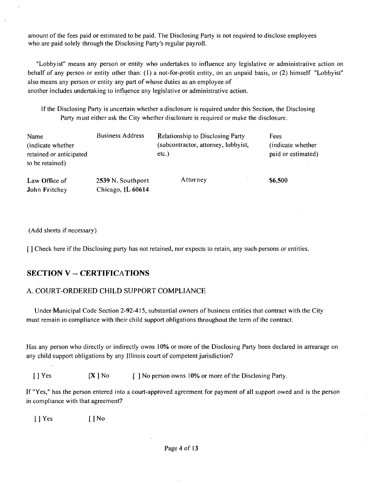amount of the fees paid or estimated to be paid. The Disclosing Party is not required to disclose employees who are paid solely through the Disclosing Party's regular payroll.

"Lobbyist" means any person or entity who undertakes to influence any legislative or administrative action on behalf of any person or entity other than: (1) a not-for-profit entity, on an unpaid basis, or (2) himself "Lobbyist" also means any person or entity any part of whose duties as an employee of another includes undertaking to influence any legislative or administrative action.

If the Disclosing Party is uncertain whether a disclosure is required under this Section, the Disclosing Party must either ask the City whether disclosure is required or make the disclosure.

| Name<br>(indicate whether)<br>retained or anticipated<br>to be retained) | <b>Business Address</b>                | Relationship to Disclosing Party<br>(subcontractor, attorney, lobbyist,<br>$etc.$ ) | Fees<br>(indicate whether)<br>paid or estimated) |
|--------------------------------------------------------------------------|----------------------------------------|-------------------------------------------------------------------------------------|--------------------------------------------------|
| Law Office of<br>John Fritchey                                           | 2539 N. Southport<br>Chicago, JL 60614 | Attorney                                                                            | \$6,500                                          |

(Add sheets if necessary)

[ ] Check here if the Disclosing party has not retained, nor expects to retain, any such persons or entities.

### **SECTION V -- CERTIFICATIONS**

#### A. COURT-ORDERED CHILD SUPPORT COMPLIANCE

Under Municipal Code Section 2-92-415, substanfial owners of business enfifies that contract with the City must remain in compliance with their child support obligations throughout the term of the contract.

Has any person who directly or indirectly owns 10% or more of the Disclosing Party been declared in artearage on any child support obligations by any Illinois court of competent jurisdiction?

[ ] Yes  $[X]$  No  $[$  ] No person owns 10% or more of the Disclosing Party.

If "Yes," has the person entered into a court-approved agreement for payment of all support owed and is the person in compliance with that agreement?

[ ] Yes [ ] No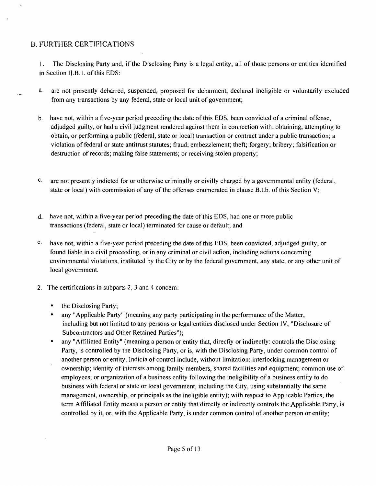#### B. FURTHER CERTIFICATIONS

I. The Disclosing Party and, if the Disclosing Party is a legal entity, all of those persons or entities identified in Section II.B. 1. of this EDS:

- a. are not presently debarred, suspended, proposed for debamient, declared ineligible or voluntarily excluded from any transactions by any federal, state or local unit of govemment;
- b. have not, within a five-year period preceding the date of this EDS, been convicted of a criminal offense, adjudged guilty, or had a civil judgment rendered against them in connection with: obtaining, attempting to obtain, or performing a public (federal, state or local) transaction or contract under a public transaction; a violation of federal or state antitrust statutes; fraud; embezzlement; theft; forgery; bribery; falsification or destruction of records; making false statements; or receiving stolen property;
- **c.** are not presently indicted for or otherwise criminally or civilly charged by a govemmental enfity (federal, state or local) with commission of any of the offenses enumerated in clause B.t.b. of this Section V;
- d. have not, within a five-year period preceding the date of this EDS, had one or more public transactions (federal, state or local) terminated for cause or default; and
- e, have not, within a five-year period preceding the date ofthis EDS, been convicted, adjudged guilty, or found liable in a civil proceeding, or in any criminal or civil acfion, including actions conceming enviromnental violations, instituted by the City or by the federal government, any state, or any other unit of local govemment.
- 2. The certifications in subparts 2, 3 and 4 concem:
	- the Disclosing Party;
	- any "Applicable Party" (meaning any party participating in the performance of the Matter, including but not limited to any persons or legal entities disclosed under Section IV, "Disclosure of Subcontractors and Other Retained Parties");
	- any "Affiliated Entity" (meaning a person or entity that, direcfiy or indirectly: controls the Disclosing Party, is controlled by the Disclosing Party, or is, with the Disclosing Party, under common control of another person or entity. Indicia of control include, without limitation: interlocking management or ownership; identity of interests among family members, shared facilities and equipment; common use of employees; or organization of a business enfity following the ineligibility of a business entity to do business with federal or state or local government, including the City, using substantially the same management, ownership, or principals as the ineligible entity); with respect to Applicable Parties, the term Affiliated Entity means a person or entity that directly or indirectly controls the Applicable Party, is controlled by it, or, with the Applicable Party, is under common control of another person or entity;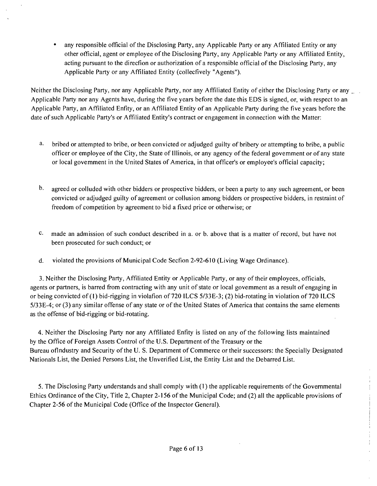any responsible official of the Disclosing Party, any Applicable Party or any Affiliated Entity or any other otticial, agent or employee of the Disclosing Party, any Applicable Party or any Affiliated Entity, acting pursuant to the direcfion or authorization of a responsible official ofthe Disclosing Party, any Applicable Party or any Affiliated Entity (collecfively "Agents").

Neither the Disclosing Party, nor any Applicable Party, nor any Affiliated Entity of either the Disclosing Party or any Applicable Party nor any Agents have, during the five years before the date this EDS is signed, or, with respect to an Applicable Party, an Affiliated Enfity, or an Affiliated Entity of an Applicable Party during the five years before the date of such Applicable Party's or Affiliated Entity's contract or engagement in connection with the Matter;

- a. bribed or attempted to bribe, or been convicted or adjudged guilty of bribery or attempting to bribe, a public officer or employee ofthe City, the State of Illinois, or any agency of the federal govemment or of any state or local govemment in the United States of America, in that officer's or employee's official capacity;
- b. agreed or colluded with other bidders or prospective bidders, or been a party to any such agreement, or been convicted or adjudged guilty of agreement or collusion among bidders or prospective bidders, in restraint of freedom of competition by agreement to bid a fi.xed price or otherwise; or
- c, made an admission of such conduct described in a. or b. above that is a matter of record, but have not been prosecuted for such conduct; or
- d. violated the provisions of Municipal Code Secfion 2-92-610 (Living Wage Ordinance).

3. Neither the Disclosing Party, Affiliated Entity or Applicable Party, or any of their employees, officials, agents or partners, is barred from contracting with any unit of state or local govemment as a result of engaging in or being convicted of (I) bid-rigging in violafion of 720 ILCS 5/33E-3; (2) bid-rotating in violation of 720 ILCS 5/33E-4; or (3) any similar offense of any state or of the United States of America that contains the same elements as the offense of bid-rigging or bid-rotating.

4. Neither the Disclosing Party nor any Affiliated Enfity is listed on any of the following lists maintained by the Office of Foreign Assets Control of the U.S. Department of the Treasury or the Bureau oflndustry and Security of the U. S. Department of Commerce or their successors: the Specially Designated Nationals List, the Denied Persons List, the Unverified List, the Entity List and the Debarred List.

5. The Disclosing Party understands and shall comply with (1) the applicable requirements of the Govemmental Ethics Ordinance of the City, Title 2, Chapter 2-156 of the Municipal Code; and (2) all the applicable provisions of Chapter 2-56 of the Municipal Code (Office of the Inspector General).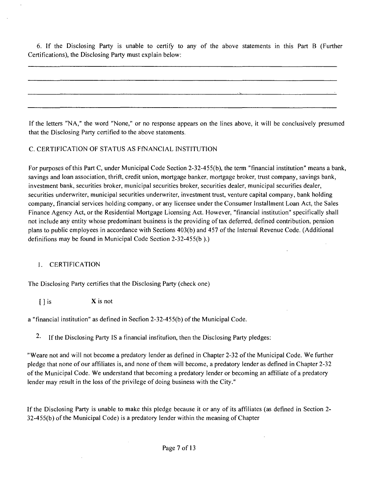6. If the Disclosing Party is unable to certify to any of the above statements in this Part B (Further Certifications), the Disclosing Party must explain below;

If the letters "NA," the word "None," or no response appears on the lines above, it will be conclusively presumed that the Disclosing Party certified to the above statements.

100 And All And All And All And All And All And All And All

#### C. CERTIFICATION OF STATUS AS FfNANClAL INSTITUTION

For purposes ofthis Part C, under Municipal Code Section 2-32-455(b), the term "financial institution" means a bank, savings and loan association, thrift, credit union, mortgage banker, mortgage broker, trust company, savings bank, investment bank, securities broker, municipal securities broker, securities dealer, municipal securifies dealer, securities underwriter, municipal securities underwriter, investment trust, venture capital company, bank holding company, financial services holding company, or any licensee under the Consumer Installment Loan Act, the Sales Finance Agency Act, or the Residential Mortgage Licensing Act. However, "financial institution" specifically shall not include any entity whose predominant business is the providing of tax deferred, defined contribution, pension plans to public employees in accordance with Sections 403(b) and 457 of the Intemal Revenue Code. (Additional definifions may be found in Municipal Code Section 2-32-455(b ).)

#### I. CERTIFICATION

The Disclosing Party certifies that the Disclosing Party (check one)

 $[ ]$  is  $X$  is not

a "financial institution" as defined in Secfion 2-32-455(b) of the Municipal Code.

2- If the Disclosing Party IS a financial insfitufion, then the Disclosing Party pledges:

"Weare not and will not become a predatory lender as defined in Chapter 2-32 of the Municipal Code. We further pledge that none of our affiliates is, and none of them will become, a predatory lender as defined in Chapter 2-32 of the Municipal Code. We understand that becoming a predatory lender or becoming an affiliate of a predatory lender may result in the loss of the privilege of doing business with the City."

If the Disclosing Party is unable to make this pledge because it or any of its affiliates (as defined in Section 2- 32-455(b) of the Municipal Code) is a predatory lender within the meaning of Chapter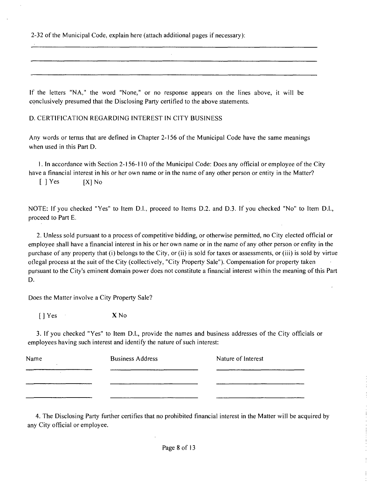2-32 of the Municipal Code, explain here (attach additional pages if necessary);

If the letters "NA," the word "None," or no response appears on the lines above, it will be conclusively presumed that the Disclosing Party certified to the above statements.

D. CERTIFICATION REGARDING INTEREST IN CITY BUSINESS

Any words or temis that are defined in Chapter 2-156 of the Municipal Code have the same meanings when used in this Part D.

1. In accordance with Section 2-156-110 ofthe Municipal Code; Does any official or employee ofthe City have a financial interest in his or her own name or in the name of any other person or entity in the Matter?

 $[$  ] Yes  $[X]$  No

NOTE: If you checked "Yes" to Item D.l., proceed to Items D.2. and D.3. If you checked "No" to Item D.l., proceed to Part E.

2. Unless sold pursuant to a process of competitive bidding, or otherwise permitted, no City elected official or employee shall have a financial interest in his or her own name or in the name of any other person or enfity in the purchase of any property that (i) belongs to the City, or (ii) is sold for taxes or assessments, or (iii) is sold by virtue otlegal process at the suit of the City (collectively, "City Property Sale"). Compensation for property taken pursuant to the City's eminent domain power does not constitute a financial interest within the meaning of this Part D.

Does the Matter involve a City Property Sale?

[ ] Yes X No

3. If you checked "Yes" to Item D.I., provide the names and business addresses ofthe City officials or employees having such interest and identify the nature of such interest:

| Name | <b>Business Address</b> | Nature of Interest |
|------|-------------------------|--------------------|
|      |                         |                    |
|      |                         |                    |
|      |                         |                    |

4. The Disclosing Party further certifies that no prohibited financial interest in the Matter will be acquired by any City official or employee.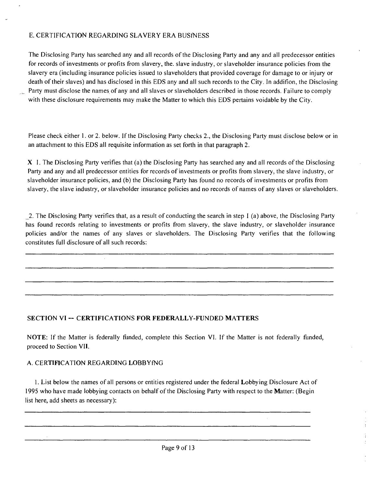#### E. CERTIFICATION REGARDING SLAVERY ERA BUSfNESS

The Disclosing Party has searched any and all records of the Disclosing Party and any and all predecessor entities for records of investments or profits from slavery, the. slave industry, or slaveholder insurance policies from the slavery era (including insurance policies issued to slaveholders that provided coverage for damage to or injury or death of their slaves) and has disclosed in this EDS any and all such records to the City. In addifion, the Disclosing Party must disclose the names of any and all slaves or slaveholders described in those records. Failure to comply with these disclosure requirements may make the Matter to which this EDS pertains voidable by the City.

Please check either 1. or 2. below. If the Disclosing Party checks 2., the Disclosing Party must disclose below or in an attachment to this EDS all requisite information as set forth in that paragraph 2.

X I. The Disclosing Party verifies that (a) the Disclosing Party has searched any and all records ofthe Disclosing Party and any and all predecessor entities for records of investments or profits from slavery, the slave industry, or slaveholder insurance policies, and (b) the Disclosing Party has found no records of investments or profits from slavery, the slave industry, or slaveholder insurance policies and no records of names of any slaves or slaveholders.

2. The Disclosing Party verifies that, as a result of conducting the search in step I (a) above, the Disclosing Party has found records relating to investments or profits from slavery, the slave industry, or slaveholder insurance policies and/or the names of any slaves or slaveholders. The Disclosing Party verifies that the following constitutes full disclosure of all such records:

#### SECTION VI -- CERTIFICATIONS FOR FEDERALLY-FUNDED MATTERS

NOTE: If the Matter is federally fiinded, complete this Section VI. If the Matter is not federally fiinded, proceed to Section VII.

#### A. CERTIFICATION REGARDING LOBBYfNG

1. List below the names of all persons or entities registered under the federal Lobbying Disclosure Act of 1995 who have made lobbying contacts on behalf of the Disclosing Party with respect to the Matter: (Begin list here, add sheets as necessary):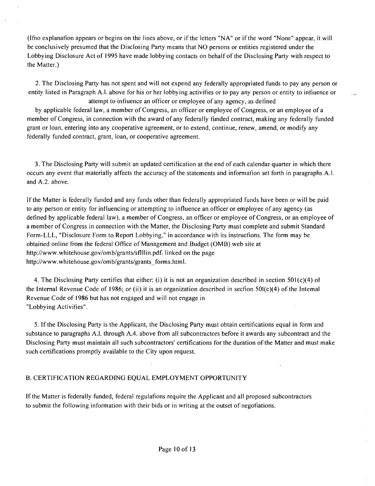(Ifno explanafion appears or begins on the lines above, or if the letters "NA" or if the word "None" appear, it will be conclusively presumed that the Disclosing Party means that NO persons or entities registered under the Lobbying Disclosure Act of 1995 have made lobbying contacts on behalf of the Disclosing Party with respect to the Matter.)

2. The Disclosing Party has not spent and will not expend any federally appropriated funds to pay any person or entity listed in Paragraph A.l. above for his or her lobbying activifies or to pay any person or entity to infiuence or

attempt to infiuence an officer or employee of any agency, as defined by applicable federal law, a member of Congress, an officer or employee of Congress, or an employee of a member of Congress, in connection with the award of any federally funded contract, making any federally funded grant or loan, entering into any cooperative agreement, or to extend, continue, renew, amend, or modify any federally funded contract, grant, loan, or cooperative agreement.

3. The Disclosing Party will submit an updated certification at the end of each calendar quarter in which there occurs any event that materially affects the accuracy of the statements and infomiafion set forth in paragraphs A.l. and A.2. above.

If the Matter is federally funded and any funds other than federally appropriated funds have been or will be paid to any person or entity for influencing or attempting to influence an officer or employee of any agency (as defined by applicable federal law), a member of Congress, an officer or employee of Congress, or an employee of a member of Congress in connection with the Matter, the Disclosing Party must complete and submit Standard Form-LLL, "Disclosure Form to Report Lobbying," in accordance with its instrucfions. The form may be obtained online from the federal Office of Management and Budget (OMB) web site at http://www.whitehouse.gov/omb/grants/sflllin.pdf. linked on the page http://www.whitehouse.gov/omb/grants/grants\_forms.html.

4. The Disclosing Party certifies that either: (i) it is not an organization described in section 501(c)(4) of the Internal Revenue Code of 1986; or (ii) it is an organization described in section  $50I(c)(4)$  of the Intemal Revenue Code of 1986 but has not engaged and will not engage in "Lobbying Activifies".

5. If the Disclosing Party is the Applicant, the Disclosing Party must obtain certifications equal in form and substance to paragraphs A.l. through A.4. above from all subcontractors before it awards any subcontract and the Disclosing Party must maintain all such subcontractors' certifications for the duration of the Matter and must make such certifications promptly available to the City upon request.

#### B. CERTIFICATION REGARDING EQUAL EMPLOYMENT OPPORTUNITY

If the Matter is federally funded, federal regulafions require the Applicant and all proposed subcontractors to submit the following information with their bids or in writing at the outset of negofiations.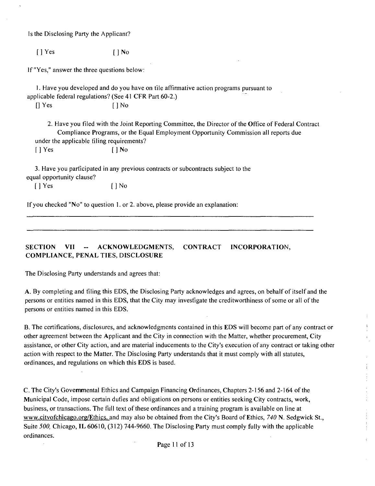Is the Disclosing Party the Applicant?

[ ] Yes [ ] No

If "Yes," answer the three questions below:

1. Have you developed and do you have on tile affirmative action programs pursuant to applicable federal regulations? (See 41 CFR Part 60-2.)

[] Yes [ ] No

2. Have you filed with the Joint Reporting Committee, the Director of the Office of Federal Contract Compliance Programs, or the Equal Employment Opportunity Commission all reports due under the applicable filing requirements?  $\lceil \cdot \rceil$  Yes  $\lceil \cdot \rceil$  No

3. Have you parficipated in any previous contracts or subcontracts subject to the equal opportunity clause?

[ ] Yes [ ] No

If you checked "No" to question 1. or 2. above, please provide an explanation;

**SECTION VII - ACKNOWLEDGMENTS, CONTRACT INCORPORATION, COMPLIANCE, PENAL TIES, DISCLOSURE** 

The Disclosing Party understands and agrees that;

A. By completing and filing this EDS, the Disclosing Party acknowledges and agrees, on behalf of itself and the persons or entities named in this EDS, that the City may invesfigate the creditworthiness of some or all of the persons or entities named in this EDS.

B. The certifications, disclosures, and acknowledgments contained in this EDS will become part of any contract or other agreement between the Applicant and the City in connection with the Matter, whether procurement. City assistance, or other City action, and are material inducements to the City's execution of any contract or taking other action with respect to the Matter. The Disclosing Party understands that it must comply with all statutes, ordinances, and regulations on which this EDS is based.

C. The City's Govemmental Ethics and Campaign Financing Ordinances, Chapters 2-156 and 2-164 of the Municipal Code, impose certain dufies and obligations on persons or entities seeking City contracts, work, business, or transactions. The fiill text of these ordinances and a training program is available on line at www.citvofchicago.org/Ethics. and may also be obtained from the City's Board of Ethics, 740 N. Sedgwick St., Suite 500, Chicago, IL 60610, (312) 744-9660. The Disclosing Party must comply fully with the applicable ordinances.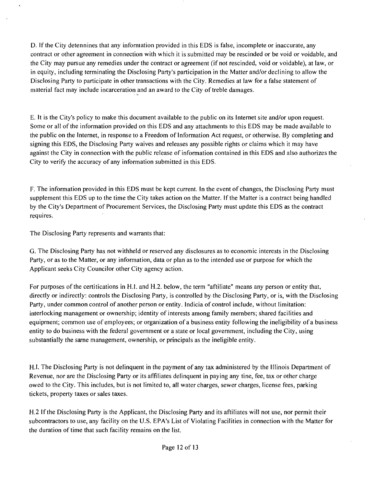D. If the City detennines that any information provided in this EDS is false, incomplete or inaccurate, any contract or other agreement in connection with which it is submitted may be rescinded or be void or voidable, and the City may pursue any remedies under the contract or agreement (if not rescinded, void or voidable), at law, or in equity, including terminafing the Disclosing Party's participation in the Matter and/or declining to allow the Disclosing Party to participate in other transactions with the City. Remedies at law for a false statement of material fact may include incarceration and an award to the City of treble damages.

E. It is the City's policy to make this document available to the public on its Intemet site and/or upon request. Some or all of the information provided on this EDS and any attachments to this EDS may be made available to the public on the Intemet, in response to a Freedom of Information Act request, or otherwise. By completing and signing this EDS, the Disclosing Party waives and releases any possible rights or claims which it may have against the City in connection with the public release of information contained in this EDS and also authorizes the City to verify the accuracy of any information submitted in this EDS.

F. The information provided in this EDS must be kept current. In the event of changes, the Disclosing Party must supplement this EDS up to the time the City takes action on the Matter. If the Matter is a contract being handled by the City's Department of Procurement Services, the Disclosing Party must update this EDS as the contract requires.

The Disclosing Party represents and warrants that;

G. The Disclosing Party has not withheld or reserved any disclosures as to economic interests in the Disclosing Party, or as to the Matter, or any information, data or plan as to the intended use or purpose for which the Applicant seeks City Councilor other City agency acfion.

For purposes ofthe certifications in H.l. and H.2. below, the term "affiliate" means any person or enfity that, directly or indirectly: controls the Disclosing Party, is controlled by the Disclosing Party, or is, with the Disclosing Party, under common control of another person or enfity. Indicia of control include, without limitafion; interlocking management or ownership; identity of interests among family members; shared facilities and equipment; common use of employees; or organizafion of a business entity following the ineligibility of a business entity to do business with the federal govemment or a state or local govemment, including the City, using substantially the same management, ownership, or principals as the ineligible entity.

H.l. The Disclosing Party is not delinquent in the payment of any tax administered by the Illinois Department of Revenue, nor are the Disclosing Party or its affiliates delinquent in paying any fine, fee, tax or other charge owed to the City. This includes, but is not limited to, all water charges, sewer charges, license fees, parking tickets, property taxes or sales taxes.

H.2 If the Disclosing Party is the Applicant, the Disclosing Party and its affiliates will not use, nor permit their subcontractors to use, any facility on the U.S. EPA's List of Violating Facilities in connection with the Matter for the duration of time that such facility remains on the list.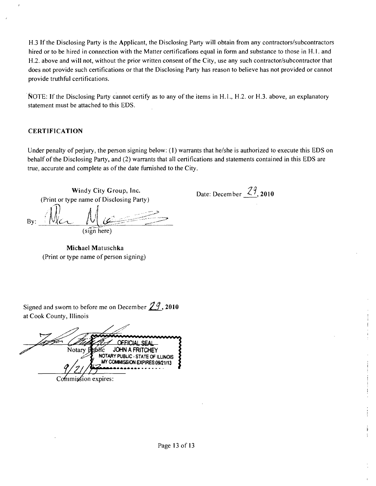H.3 If the Disclosing Party is the Applicant, the Disclosing Party will obtain from any contractors/subcontractors hired or to be hired in connection with the Matter certifications equal in form and substance to those in H.1. and H.2. above and will not, without the prior written consent of the City, use any such contractor/subcontractor that does not provide such certifications or that the Disclosing Party has reason to believe has not provided or cannot provide truthful certifications.

NOTE: If the Disclosing Party cannot certify as to any of the items in H.1., H.2. or H.3. above, an explanatory statement must be attached to this EDS.

#### **CERTIFICATION**

Under penalty of perjury, the person signing below: (I) warrants that he/she is authorized to execute this EDS on behalf ofthe Disclosing Party, and (2) warrants that all certifications and statements contained in this EDS are true, accurate and complete as of the date fumished to the City.

Date: December  $\frac{29}{,}$  2010

**Windy City Group, Inc.**  (Print or type name of Disclosing Party)  $\iint$  $\mathsf{By:}$   $\mathsf{IVIC}$   $\mathsf{IV}$   $\mathsf{U}$   $\mathsf{U}$ (sign here)

**Michael Matuschka**  (Print or type name of person signing)

Signed and sworn to before me on December  $29$ , 2010 at Cook County, Illinois

**OFFICIAL SEAL** Notary Public **JOHN A FRITCHEY** NOTARY PUBLIC - STATE OF ILLINOIS MY COMMISSION EXPIRES:09/21/13

Commission expires: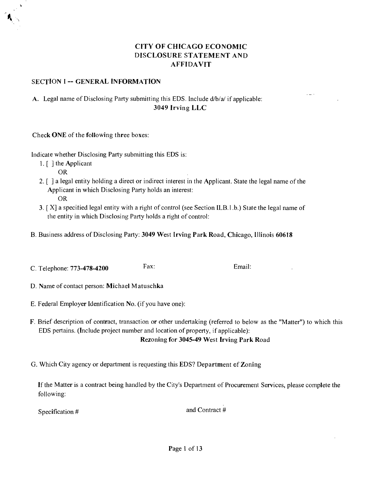#### **CITY OF CHICAGO ECONOMIC DISCLOSURE STATEMENT AND AFFIDAVIT**

#### **SECTION I -- GENERAL INFORMATION**

#### A. Legal name of Disclosing Party submitting this EDS. Include d/b/a/ if applicable; **3049 Irving LLC**

**Check ONE of the following three boxes:** 

Indicate whether Disclosing Party submitting tliis EDS is:

1. [ ] the Applicant

OR

- 2. [ ] a legal entity holding a direct or indirect interest in the Applicant. State the legal name of the Applicant in which Disclosing Party holds an interest: OR
- $3.$  [X] a specified legal entity with a right of control (see Section ILB.1.b.) State the legal name of the entity in which Disclosing Party holds a right of control:
- **B. Business address of Disclosing Party; 3049 West Irving Park Road, Chicago, Illinois 60618**
- C. Telephone: 773-478-4200 Fax: Email:

**D. Name of contact person: Michael Matuschka** 

- E. Federal Employer Identification No. (if you have one);
- F. Brief description of contract, transaction or other undertaking (referred to below as the "Matter") to which this EDS pertains. (Include project number and location of property, if applicable);

**Rezoning for 3045-49 West Irving Park Road** 

**G. Which City agency or department is requesting this EDS? Department cf Zoning** 

If the Matter is a contract being handled by the City's Department of Procurement Services, please complete the following:

Specification #  $\frac{1}{2}$  and Contract #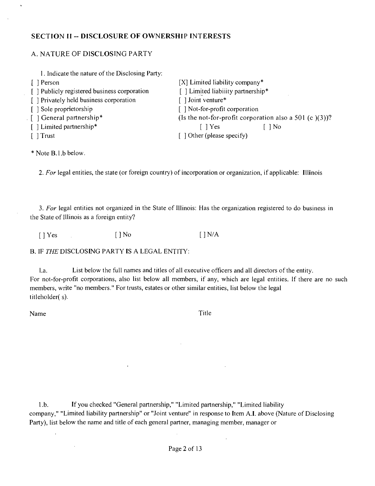#### **SECTION II ~ DISCLOSURE OF OWNERSHIP INTERESTS**

#### A. NATURE OF DISCLOSING PARTY

| 1. Indicate the nature of the Disclosing Party: |                                                           |  |
|-------------------------------------------------|-----------------------------------------------------------|--|
| [ ] Person                                      | $[X]$ Limited liability company*                          |  |
| [] Publicly registered business corporation     | [ ] Limited liabiiity partnership*                        |  |
| [ ] Privately held business corporation         | [] Joint venture*                                         |  |
| [ ] Sole proprietorship                         | [] Not-for-profit corporation                             |  |
| [ ] General partnership*                        | (Is the not-for-profit corporation also a 501 (c $(3)$ )? |  |
| [ ] Limited partnership*                        | $\lceil \ \rceil$ Yes<br>  No                             |  |
| $\lceil \ \rceil$ Trust                         | $\lceil$ 1 Other (please specify)                         |  |

\* Note B.l.b below.

 $\mathbb{Z}^2$ 

2. For legal entities, the state (or foreign country) of incorporation or organization, if applicable: Illinois

3. For legal entities not organized in the State of Illinois: Has the organization registered to do business in the State of Illinois as a foreign entity?

 $[$  | Yes  $[$  | No  $[$  | No  $[$  | N/A

B. IF THE DISCLOSING PARTY IS A LEGAL ENTITY:

l.a. List below the full names and titles of all executive officers and all directors of the entity. For not-for-profit corporations, also list below all members, if any, which are legal entities. If there are no such members, write "no members." For trusts, estates or other similar entities, list below the legal titleholder( s).

Name Title

 $\mathcal{L}$ 

1 .b. If you checked "General partnership," "Limited partnership," "Limited liability company," "Limited liability partnership" or "Joint venture" in response to Item A.I. above (Nature of Disclosing Party), list below the name and title of each general partner, managing member, manager or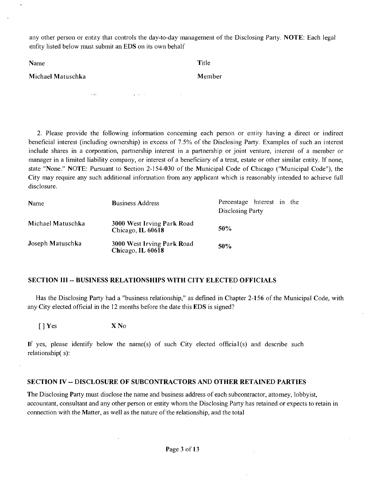any other person or entity that controls the day-to-day management of the Disclosing Party. NOTE; Each legal enfity listed below must submit an EDS on its own behalf

| Name              | Title  |
|-------------------|--------|
| Michael Matuschka | Member |
|                   |        |

 $\sim 40$ 

2. Please provide the following information conceming each person or entity having a direct or indirect beneficial interest (including ownership) in excess of 7.5% of the Disclosing Party. Examples of such an interest include shares in a corporation, partnership interest in a partnership or joint venture, interest of a member or manager in a limited liability company, or interest of a beneficiary of a tmst, estate or other similar entity. If none, state "None." NOTE: Pursuant to Section 2-154-030 of the Municipal Code of Chicago ("Municipal Code"), the City may require any such additional infomiation from any applicant which is reasonably intended to achieve full disclosure.

| Name              | <b>Business Address</b>                         | Percentage hiterest in the<br>Disclosing Party |
|-------------------|-------------------------------------------------|------------------------------------------------|
| Michael Matuschka | 3000 West Irving Park Road<br>Chicago, IL 60618 | 50%                                            |
| Joseph Matuschka  | 3000 West Irving Park Road<br>Chicago, IL 60618 | 50%                                            |

#### **SECTION III - BUSINESS RELATIONSHIPS WITH CITY ELECTED OFFICLALS**

Has the Disclosing Party had a "business relationship," as defined in Chapter 2-156 of the Municipal Code, with any City elected official in the 12 months before the date this EDS is signed?

[ ] Yes X No

If yes, please identify below the name(s) of such City elected official  $(s)$  and describe such relationship(s):

#### **SECTION rv -- DISCLOSURE OF SUBCONTRACTORS AND OTHER RETAINED PARTIES**

The Disclosing Party must disclose the name and business address of each subcontractor, attomey, lobbyist, accountant, consultant and any other person or entity whom the Disclosing Party has retained or expects to retain in connection with the Matter, as well as the nature of the relationship, and the total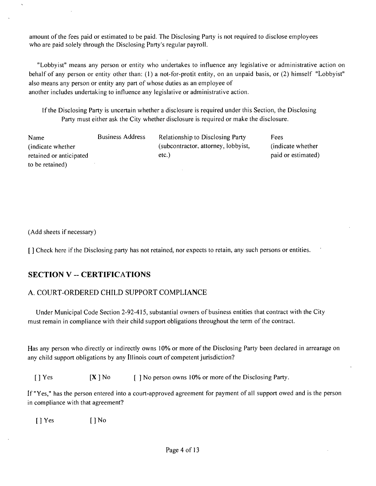amount of the fees paid or estimated to be paid. The Disclosing Party is not required to disclose employees who are paid solely through the Disclosing Party's regular payroll.

"Lobbyist" means any person or entity who undertakes to influence any legislative or administrative action on behalf of any person or entity other than; (1) a not-for-profit enfity, on an unpaid basis, or (2) himself "Lobbyist" also means any person or entity any part of whose duties as an employee of another includes undertaking to influence any legislative or administrative action.

If the Disclosing Party is uncertain whether a disclosure is required under this Section, the Disclosing Party must either ask the City whether disclosure is required or make the disclosure.

| Name<br>(indicate whether) | <b>Business Address</b> | <b>Relationship to Disclosing Party</b><br>(subcontractor, attorney, lobbyist, | Fees<br>(indicate whether) |
|----------------------------|-------------------------|--------------------------------------------------------------------------------|----------------------------|
| retained or anticipated    |                         | $etc.$ )                                                                       | paid or estimated)         |
| to be retained)            |                         |                                                                                |                            |

(Add sheets if necessary)

[] Check here if the Disclosing party has not retained, nor expects to retain, any such persons or entities.

#### **SECTION V - CERTIFICATIONS**

#### A. COURT-ORDERED CHILD SUPPORT COMPLIANCE

Under Municipal Code Section 2-92-415, substantial owners of business entifies that contract with the City must remain in compliance with their child support obligations throughout the term of the contract.

Has any person who directly or indirectly owns 10% or more of the Disclosing Party been declared in arrearage on any child support obligafions by any Illinois court of competent jurisdiction?

[ ] Yes [X ] No [ ] No person owns 10% or more of the Disclosing Party.

If "Yes," has the person entered into a court-approved agreement for payment of all support owed and is the person in compliance with that agreement?

[ ] Yes [ ] No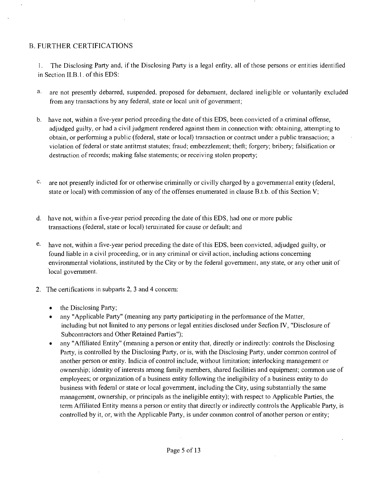#### B. FURTHER CERTIFICATIONS

1. The Disclosing Party and, if the Disclosing Party is a legal enfity, all of those persons or entities identified in Section II.B.l. of this EDS:

- a, are not presently debarred, suspended, proposed for debamient, declared ineligible or voluntarily excluded from any transactions by any federal, state or local unit of government;
- b. have not, within a five-year period preceding the date of this EDS, been convicled of a criminal offense, adjudged guilty, or had a civil judgment rendered against them in connection with: obtaining, attempting to obtain, or performing a public (federal, state or local) transaction or contract under a public transaction; a violation of federal or state antitmst statutes; fraud; embezzlement; theft; forgery; bribery; falsification or destmction of records; making false statements; or receiving stolen property;
- c. are not presently indicted for or otherwise criminally or civilly charged by a govemmenlal entity (federal, state or local) with commission of any of the offenses enumerated in clause B.t.b. of this Section V;
- d. have not, within a five-year period preceding the date ofthis EDS, had one or more public transactions (federal, state or local) temiinated for cause or default; and
- e- have not, within a five-year period preceding the date of tliis EDS, been convicted, adjudged guilty, or found liable in a civil proceeding, or in any criminal or civil action, including actions conceming environmental violations, instituted by the City or by the federal government, any state, or any other unit of local government.
- 2. The certifications in subparts 2, 3 and 4 concem:
	- the Disclosing Party;
	- any "Applicable Party" (meaning any party participating in the performance of the Matter, including but not limited to any persons or legal entities disclosed under Secfion IV, "Disclosure of Subcontractors and Other Retained Parties");
	- any "Affiliated Entity" (meaning a person or entity that, directly or indirectly: controls the Disclosing Party, is controlled by the Disclosing Party, or is, with the Disclosing Party, under common control of another person or entity. Indicia of control include, without limitation; interlocking management or ownership; identity of interests among family members, shared facilities and equipment; common use of employees; or organization of a business entity following the ineligibility of a business entity to do business with federal or state or local govemment, including the City, using substantially the same management, ownership, or principals as the ineligible entity); with respect to Applicable Parties, the term Affiliated Entity means a person or entity that directly or indirectly controls the Applicable Party, is controlled by it, or, with the Applicable Party, is under coinmon control of another person or entity;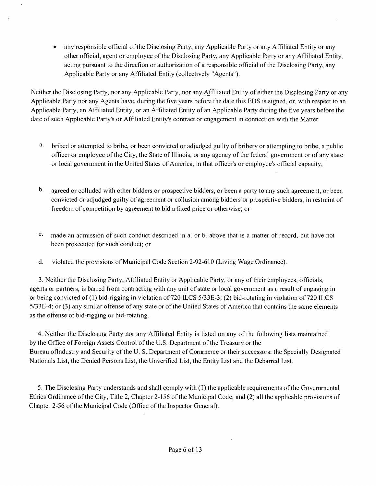• any responsible official ofthe Disclosing Party, any Applicable Party or any Affiliated Entity or any other official, agent or employee ofthe Disclosing Party, any Applicable Party or any Affiliated Entity, acting pursuant to the direcfion or authorization of a responsible official of the Disclosing Party, any Applicable Party or any Affiliated Entity (collectively "Agents").

Neither the Disclosing Party, nor any Applicable Party, nor any Affiliated Enlily of either the Disclosing Party or any Applicable Party nor any Agents have, during the five years before the dale this EDS is signed, or, wiih respect lo an Applicable Party, an Affiliated Entity, or an Affiliated Entity of an Applicable Party during the five years before the date of such Applicable Party's or Affiliated Entity's contract or engagement in connecfion with the Matter:

- a. bribed or attempted to bribe, or been convicted or adjudged guilty of bribery or allempling to bribe, a public officer or employee of the City, the Stale of Illinois, or any agency ofthe federal govemment or of any state or local govemment in the United States of America, in that officer's or employee's official capacity;
- $\mathbf{b}$ . agreed or colluded with olher bidders or prospective bidders, or been a party lo any such agreement, or been convicted or adjudged guilty of agreement or collusion among bidders or prospective bidders, in restraint of freedom of competition by agreement to bid a fixed price or otherwise; or
- e- made an admission of such conduct described in a. or b. above that is a matter of record, but have nol been prosecuted for such conduct; or
- d. violated the provisions of Municipal Code Section 2-92-610 (Living Wage Ordinance).

3. Neither the Disclosing Party, Affiliated Entity or Applicable Party, or any of their employees, officials, agents or partners, is barred from contracting with any unit of state or local govemment as a result of engaging in or being convicted of (1) bid-rigging in violation of 720 LLCS 5/33E-3; (2) bid-rotating in violation of 720 ILCS 5/33E-4; or (3) any similar offense of any state or of the United States of America that contains the same elements as the offense of bid-rigging or bid-rotating.

4. Neither the Disclosing Party nor any Affiliated Entity is listed on any of the following lists maintained by the Office of Foreign Assets Control of the U.S. Department of the Treasury or the Bureau oflndustry and Security ofthe U. S. Department of Commerce or their successors; the Specially Designated Nationals List, the Denied Persons List, the Unverified List, the Entity List and the Debarred List.

5. The Disclosmg Party understands and shall comply with (I) the applicable requirements ofthe Govemmental Ethics Ordinance ofthe City, Title 2, Chapter 2-156 of the Municipal Code; and (2) all the applicable provisions of Chapter 2-56 of the Municipal Code (Office of the Inspector General).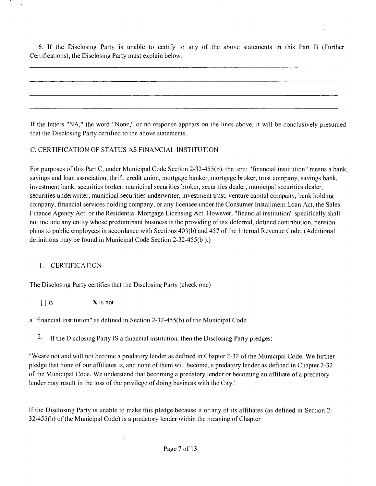6. If the Disclosing Party is unable to certify to any of the above statements in this Part B (Further Certifications), the Disclosing Party must explain below:

If the letters "NA," the word "None," or no response appears on the lines above, it will be conclusively presumed that the Disclosing Party certified to the above statements.

#### C. CERTIFICATION OF STATUS AS FfNANClAL INSTITUTION

For purposes of this Part C, under Municipal Code Section 2-32-455(b), the term "financial insimution" means a bank, savings and loan association, tlirift, credit union, mortgage banker, mortgage broker, tmst company, savings bank, investment bank, securities broker, municipal securities broker, securities dealer, municipal securities dealer, securities underwriter, municipal securities underwriter, investment tmst, venture capital company, bank holding company, fmancial services holding company, or any licensee under the Consumer Installment Loan Act, the Sales Finance Agency Act, or the Residential Mortgage Licensing Act. However, "financial institution" specifically shall not include any entity whose predominant business is the providing of tax deferred, defined contribution, pension plans to public employees in accordance with Sections 403(b) and 457 of the hitemal Revenue Code. (Additional definitions may be found in Municipal Code Section 2-32-455(b ).)

#### 1. CERTIFICATION

The Disclosing Party certities that the Disclosing Party (check one)

 $\begin{bmatrix} \end{bmatrix}$  is  $\begin{array}{c} \text{X} & \text{X} \\ \text{X} & \text{X} \end{array}$ 

a "financial institution" as defined in Section 2-32-455(b) ofthe Municipal Code.

2. If the Disclosing Party IS a financial institution, then the Disclosing Party pledges:

"Weare not and will not become a predatory lender as defined in Chapter 2-32 of the Municipal Code. We further pledge that none of our affiliates is, and none of them will become, a predatory lender as defined in Chapter 2-32 ofthe Municipal Code. We understand that becoming a predatory lender or becoming an affiliate of a predatory lender may result in the loss of the privilege of doing business with the City."

If the Disclosing Party is unable to make this pledge because it or any of its affiliates (as defined in Section 2- 32-455(b) of the Municipal Code) is a predatory lender within the meaning of Chapter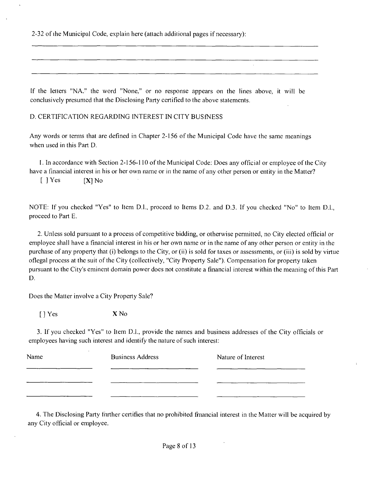2-32 of the Municipal Code, explain here (attach additional pages if necessary):

If the letters "NA." the word "None," or no response appears on the lines above, it will be conclusively presumed that the Disclosing Party certified to the above statements.

D. CERTIFICATION REGARDING INTEREST IN CITY BUSfNESS

Any words or terms that are defined in Chapter 2-156 of the Municipal Code have the same meanings when used in this Part D.

I. In accordance with Section 2-156-110 ofthe Municipal Code; Does any official or employee ofthe City have a financial interest in his or her own name or in the name of any other person or entity in the Matter?

 $[$  ] Yes  $[X]$  No

NOTE; If you checked "Yes" to Item D.l., proceed to Items D.2. and D.3. If you checked "No" to Item D.L, proceed to Part E.

2. Unless sold pursuant to a process of competitive bidding, or otherwise pemiitted, no City elected official or employee shall have a financial interest in his or her own name or in the name of any other person or entity in the purchase of any property that (i) belongs to the City, or (ii) is sold for taxes or assessments, or (iii) is sold by virtue oflegal process at the suit of the City (collectively, "City Property Sale"). Compensation for property taken pursuant to the City's eminent domain power does not constitute a financial interest within the meaning ofthis Part D.

Does the Matter involve a City Property Sale?

[ ] Yes X No

3. If you checked "Yes" to Item D.L, provide the names and business addresses of the City officials or employees having such interest and identify the nature of such interest:

| Name | <b>Business Address</b> | Nature of Interest |
|------|-------------------------|--------------------|
|      |                         |                    |
|      |                         |                    |
|      |                         |                    |

4. The Disclosing Party fiirther certifies that no prohibited fmancial interest in the Matter will be acquired by any City official or employee.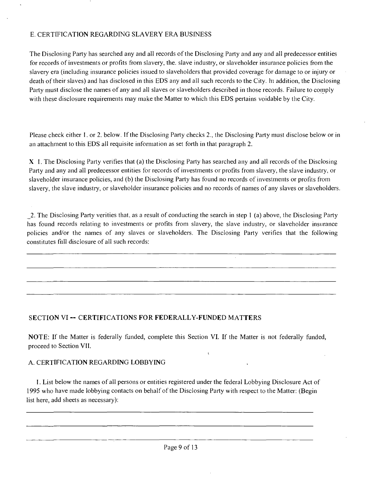#### E. CERTIFICATION REGARDING SLAVERY ERA BUSINESS

The Disclosing Party has searched any and all records of the Disclosing Party and any and all predecessor entities for records of investmenls or profits from slavery, the. slave industry, or slaveholder insurance policies from the slavery era (including insurance policies issued to slaveholders that provided coverage for damage lo or injury or death of their slaves) and has disclosed in this EDS any and all such records to the City, hi addition, the Disclosing Party must disclose the names of any and all slaves or slaveholders described in those records. Failure to comply with these disclosure requirements may make the Matter to which this EDS pertains voidable by the City.

Please check either I. or 2. below. If the Disclosing Party checks 2., the Disclosing Party must disclose below or in an attachment to this EDS all requisite infomiation as sel forth in that paragraph 2.

X I. The Disclosing Party verifies that (a) the Disclosing Party has searched any and all records ofthe Disclosing Party and any and all predecessor entities for records of investments or profits from slavery, the slave industry, or slaveholder insurance policies, and (b) the Disclosing Party has found no records of investments or profits from slavery, the slave industry, or slaveholder insurance policies and no records of names of any slaves or slaveholders.

\_2. The Disclosing Party verities that, as a result of conducting the search in step 1 (a) above, the Disclosing Party has found records relating to investments or profits from slavery, the slave industry, or slaveholder insurance policies and/or the names of any slaves or slaveholders. The Disclosing Party verifies that the following constitutes fiill disclosure of all such records:

#### **SECTION VI - CERTIFICATIONS FOR FEDERALLY-FUNDED MATTERS**

NOTE: If the Matter is federally funded, complete this Section VI. If the Matter is not federally funded, proceed to Section VII.

 $\mathbf{C}$ 

#### A. CERTIFICATION REGARDING LOBBYING

I. List below the names of all persons or entities registered under the federal Lobbying Disclosure Act of 1995 who have made lobbying contacts on behalf of the Disclosing Party with respect to the Matter; (Begin list here, add sheets as necessary);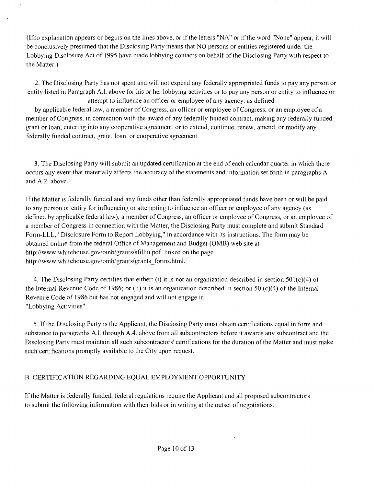(Ifno explanation appears or begins on the lines above, or if the letters "NA" or if the word "None" appear, it will be conclusively presumed that the Disclosing Party means that NO persons or entities registered under the Lobbying Disclosure Act of 1995 have made lobbying contacts on behalf of the Disclosing Party with respect to the Matter.)

2. The Disclosing Party has not spent and will not expend any federally appropriated funds lo pay any person or entity listed in Paragraph A.l. above for liis or her lobbying activities or to pay any person or entity to influence or

attempt to influence an officer or employee of any agency, as defined by applicable federal law, a member of Congress, an officer or employee of Congress, or an employee of a member of Congress, in comection with the award of any federally funded contract, making any federally funded grant or loan, entering into any cooperative agreement, or to extend, continue, renew, amend, or modify any federally funded contract, grant, loan, or cooperative agreement.

3. The Disclosing Party will submit an updated certification at the end of each calendar quarter in which there occurs any event that materially affects the accuracy of the statements and information set forth in paragraphs A.l. and A.2. above.

If the Matter is federally funded and any funds other than federally appropriated fiinds have been or will be paid to any person or entity for influencing or attempting lo infiuence an officer or employee of any agency (as defined by applicable federal law), a member of Congress, an officer or employee of Congress, or an employee of a member of Congress in connection with the Mailer, the Disclosing Party must complete and submit Standard Form-LLL, "Disclosure Form to Report Lobbying," in accordance with its instructions. The form may be obtained online from the federal Office of Management and Budget (OMB) web site at http;//www.whitehouse.gov/oinb/grants/sfillin.pdf linked on the page http://w\vw.\vhitehouse.gov/omb/grants/grants\_fonns.htnnl.

4. The Disclosing Party certifies that either: (i) it is not an organization described in section 501(c)(4) of the Intemal Revenue Code of 1986; or (ii) it is an organization described in section 501(c)(4) of the Intemal Revenue Code of 1986 but has not engaged and will not engage in "Lobbying Activities".

5. If the Disclosing Party is the Applicant, the Disclosing Party must obtain certifications equal in fomi and substance to paragraphs A.l. through A.4. above from all subcontractors before it awards any subcontract and the Disclosing Party must maintain all such subcontractors' certifications for the duration ofthe Matter and must make such certifications promptly available to the City upon request.

#### B. CERTIFICATION REGARDING EQUAL EMPLOYMENT OPPORTUNITY

If the Matter is federally fimded, federal regulations require the Applicant and all proposed subcontractors to submit the following information with their bids or in writing at the outset of negotiations.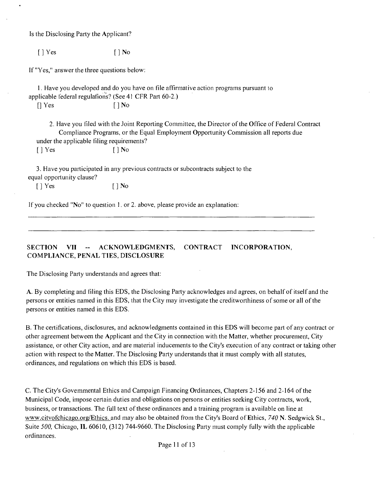Is the Disclosing Party the Applicant?

 $[$   $]$  Yes  $[$   $]$  No

If "Yes," answer the three questions below:

1. Have you developed and do you have on file affimialive action programs pursuant lo applicable federal regulafions? (See 41 CFR Part 60-2.)

 $\lceil \cdot \rceil$  Yes  $\lceil \cdot \rceil$  No

2. Have you filed with the Joint Reporting Committee, the Director of the Office of Federal Contract Compliance Programs, or the Equal Employment Opportunity Commission all reports due under the applicable filing requirements? [ ] Yes [ ] No

3. Have you participated in any previous contracts or subcontracts subject to the equal opportunity clause?

[ ] Yes [ ] No

If you checked "No" to question 1. or 2. above, please provide an explanation:

**SECTION VII - ACKNOWLEDGMENTS, CONTRACT INCORPORATION, COMPLIANCE, PENAL TIES, DISCLOSURE** 

The Disclosing Party understands and agrees that:

A. By completing and filing this EDS, the Disclosing Party acknowledges and agrees, on behalf of itself and the persons or entities named in this EDS, lhat the City may investigate the creditworthiness of some or all of the persons or entities named in this EDS.

B. The certifications, disclosures, and acknowledgments contained in this EDS will become part of any contract or other agreement between the Applicant and the City in connection with the Matter, whether procurement, City assistance, or other City action, and are material inducements to the City's execution of any contract or taking other action with respect to the Matter. The Disclosing Party understands that it must comply with all statutes, ordinances, and regulations on which this EDS is based.

C. The City's Govemmental Ethics and Campaign Financing Ordinances, Chapters 2-156 and 2-164 of the Municipal Code, impose certain duties and obligations on persons or entities seeking City contracts, work, business, or transactions. The fijll text of these ordinances and a training program is available on line at www.citvofchicago.org/Ethics. and may also be obtained from the City's Board of Ethics, 740 N. Sedgwick St., Suite 500, Chicago, IL 60610, (312) 744-9660. The Disclosing Party must comply fully with the applicable ordinances.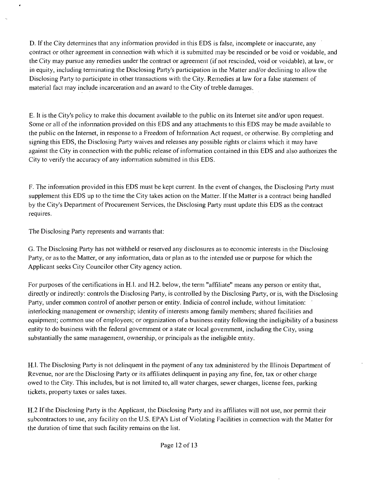D. If the City determines that any information provided in this EDS is false, incomplete or inaccurate, any contract or other agreement in connection with which it is submitted may be rescinded or be void or voidable, and the City may pursue any remedies under the contract or agreemenl (if not rescinded, void or voidable), at law, or in equity, including temiinating the Disclosing Party's participation in the Matter and/or declining to allow the Disclosing Party to participate in other transactions with the City. Remedies at law for a false stalemenl of material fact may include incarceration and an award to the City of treble damages.

E. It is the City's policy to make this document available to the public on its Internet site and/or upon request. Some or all of the infonnation provided on this EDS and any attacliments to this EDS may be made available to the public on the Intemet, in response to a Freedom of hifonnation Act request, or otherwise. By completing and signing this EDS, the Disclosing Party waives and releases any possible rights or claims which it may have against the City in connection with the public release of infomiation contained in this EDS and also authorizes the City to verify the accuracy of any information submitted in this EDS.

F. The infomiation provided in this EDS must be kept current. In the event of changes, the Disclosing Party must supplement this EDS up to the time the City takes action on the Matter. If the Matter is a contract being handled by the City's Department of Procurement Services, the Disclosing Party must update this EDS as the contract requires.

The Disclosing Party represents and warrants that:

G. The Disclosing Party has not withheld or reserved any disclosures as to economic interests in the Disclosing Party, or as to the Matter, or any information, data or plan as to the intended use or purpose for which the Applicant seeks City Councilor other City agency action.

For purposes of the certifications in H.l. and H.2. below, the term "affiliate" means any person or entity that, directly or indirectly; controls the Disclosing Party, is controlled by the Disclosing Party, or is, with the Disclosing Party, under common control of another person or entity. Indicia of control include, without limitation: interlocking management or ownership; identity of interests among family members; shared facilities and equipment; common use of employees; or organization of a business entity following the ineligibility of a business entity to do business with the federal govemment or a state or local govemment, including the City, using substantially the same management, ownership, or principals as the ineligible entity.

H.l. The Disclosing Party is not delinquent in the payment of any tax administered by the Illinois Department of Revenue, nor are the Disclosing Party or its affiliates delinquent in paying any fine, fee, tax or other charge owed to the City. This includes, but is not limited to, all water charges, sewer charges, license fees, parking tickets, property taxes or sales taxes.

H.2 If the Disclosing Party is the Applicant, the Disclosing Party and its affiliates will not use, nor permit their subcontractors to use, any facility on the U.S. EPA's List of Violating Facilities in cormection with the Matter for the duration of time that such facility remains on the list.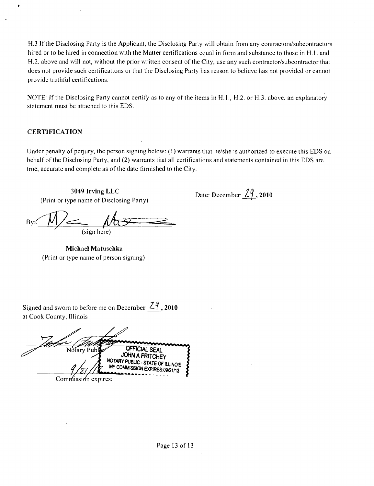H.3 If the Disclosing Party is the Applicant, the Disclosing Party will obtain from any coniractors/subcontractors hired or to be hired in connection with the Matter certifications equal in form and substance to those in H.1. and H.2. above and will not, without the prior written consent of the City, use any such contractor/subcontractor that does not provide such certifications or that the Disclosing Party has reason to believe has not provided or cannot provide tmthftil certifications.

NOTE: If the Disclosing Party cannot certify as to any of the items in H.l., H.2. or H.3. above, an explanatory statement must be attached to this EDS.

#### **CERTIFICATION**

Under penalty of perjury, the person signing below; (1) warrants that he/she is authorized to execute this EDS on behalf of the Disclosing Party, and (2) warrants that all certifications and statements contained in this EDS are trne, accurate and complete as of the date fiirmished to the City.

**3049 Irving LLC**  (Print or type name of Disclosing Party)

Date: December <u>29</u>, 2010

(sign here)

**Michael Matuschka**  (Print or type name of person signing)

Signed and sworn to before me on December  $\frac{29}{10}$ , 2010 at Cook County, Illinois

OFFICIAL SEAL Notary Pub. JOHN A FRITCHEY NOTARY PUBLIC-STATE OF ILLINOIS MY COMMISSION EXPIRES:09/21/13 Commission expires: